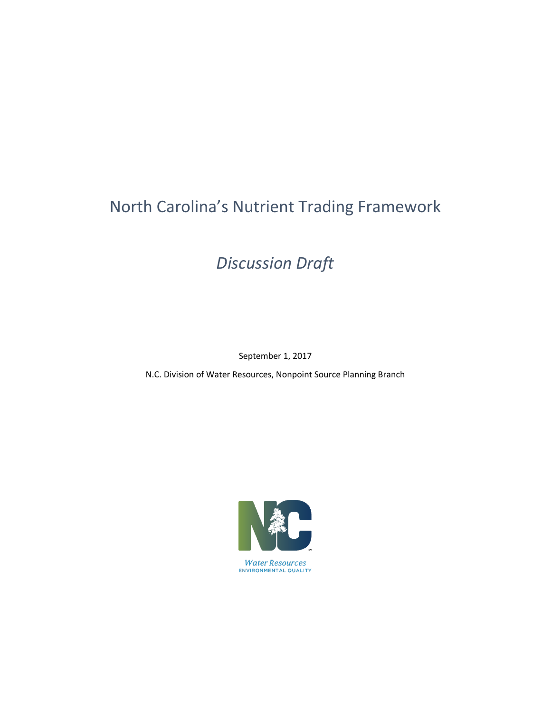# North Carolina's Nutrient Trading Framework

*Discussion Draft*

September 1, 2017

N.C. Division of Water Resources, Nonpoint Source Planning Branch



**Water Resources** ENVIRONMENTAL QUALITY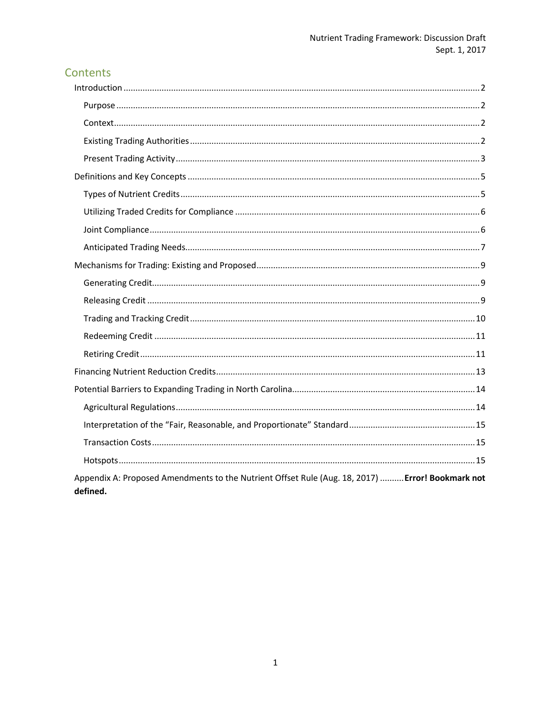# Contents

| Appendix A: Proposed Amendments to the Nutrient Offset Rule (Aug. 18, 2017)  Error! Bookmark not<br>defined. |
|--------------------------------------------------------------------------------------------------------------|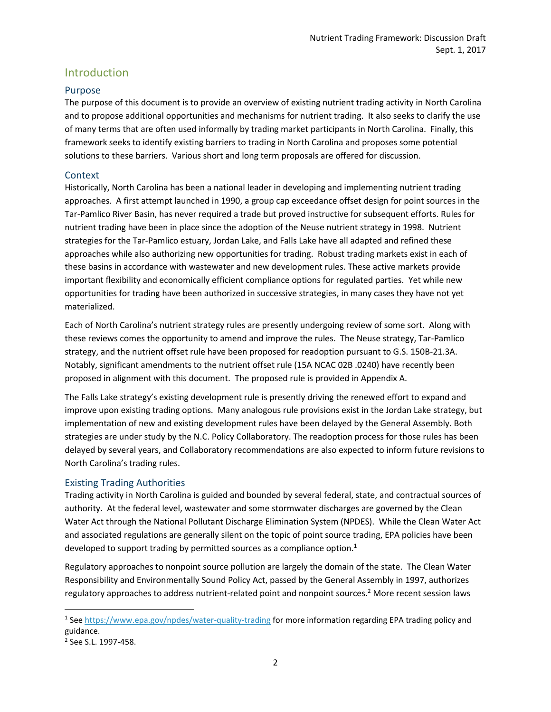# <span id="page-2-0"></span>Introduction

## <span id="page-2-1"></span>Purpose

The purpose of this document is to provide an overview of existing nutrient trading activity in North Carolina and to propose additional opportunities and mechanisms for nutrient trading. It also seeks to clarify the use of many terms that are often used informally by trading market participants in North Carolina. Finally, this framework seeks to identify existing barriers to trading in North Carolina and proposes some potential solutions to these barriers. Various short and long term proposals are offered for discussion.

## <span id="page-2-2"></span>**Context**

Historically, North Carolina has been a national leader in developing and implementing nutrient trading approaches. A first attempt launched in 1990, a group cap exceedance offset design for point sources in the Tar-Pamlico River Basin, has never required a trade but proved instructive for subsequent efforts. Rules for nutrient trading have been in place since the adoption of the Neuse nutrient strategy in 1998. Nutrient strategies for the Tar-Pamlico estuary, Jordan Lake, and Falls Lake have all adapted and refined these approaches while also authorizing new opportunities for trading. Robust trading markets exist in each of these basins in accordance with wastewater and new development rules. These active markets provide important flexibility and economically efficient compliance options for regulated parties. Yet while new opportunities for trading have been authorized in successive strategies, in many cases they have not yet materialized.

Each of North Carolina's nutrient strategy rules are presently undergoing review of some sort. Along with these reviews comes the opportunity to amend and improve the rules. The Neuse strategy, Tar-Pamlico strategy, and the nutrient offset rule have been proposed for readoption pursuant to G.S. 150B-21.3A. Notably, significant amendments to the nutrient offset rule (15A NCAC 02B .0240) have recently been proposed in alignment with this document. The proposed rule is provided in Appendix A.

The Falls Lake strategy's existing development rule is presently driving the renewed effort to expand and improve upon existing trading options. Many analogous rule provisions exist in the Jordan Lake strategy, but implementation of new and existing development rules have been delayed by the General Assembly. Both strategies are under study by the N.C. Policy Collaboratory. The readoption process for those rules has been delayed by several years, and Collaboratory recommendations are also expected to inform future revisions to North Carolina's trading rules.

## <span id="page-2-3"></span>Existing Trading Authorities

Trading activity in North Carolina is guided and bounded by several federal, state, and contractual sources of authority. At the federal level, wastewater and some stormwater discharges are governed by the Clean Water Act through the National Pollutant Discharge Elimination System (NPDES). While the Clean Water Act and associated regulations are generally silent on the topic of point source trading, EPA policies have been developed to support trading by permitted sources as a compliance option.<sup>1</sup>

Regulatory approaches to nonpoint source pollution are largely the domain of the state. The Clean Water Responsibility and Environmentally Sound Policy Act, passed by the General Assembly in 1997, authorizes regulatory approaches to address nutrient-related point and nonpoint sources.<sup>2</sup> More recent session laws

l

<sup>&</sup>lt;sup>1</sup> See<https://www.epa.gov/npdes/water-quality-trading> for more information regarding EPA trading policy and guidance.

<sup>2</sup> See S.L. 1997-458.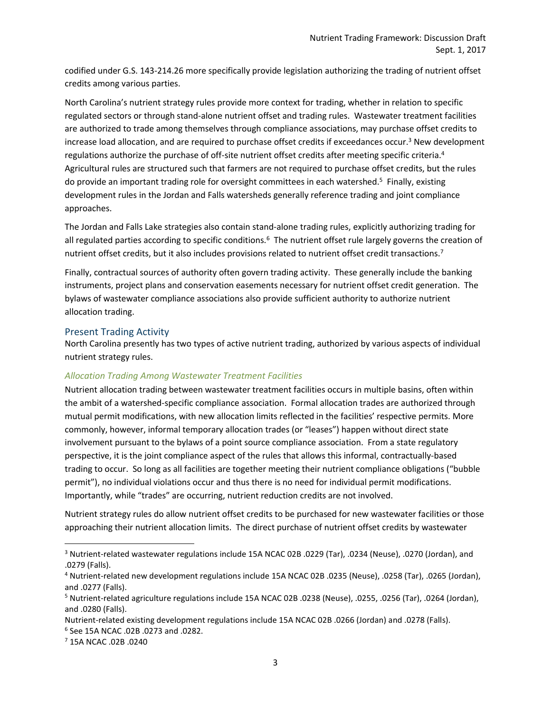codified under G.S. 143-214.26 more specifically provide legislation authorizing the trading of nutrient offset credits among various parties.

North Carolina's nutrient strategy rules provide more context for trading, whether in relation to specific regulated sectors or through stand-alone nutrient offset and trading rules. Wastewater treatment facilities are authorized to trade among themselves through compliance associations, may purchase offset credits to increase load allocation, and are required to purchase offset credits if exceedances occur.<sup>3</sup> New development regulations authorize the purchase of off-site nutrient offset credits after meeting specific criteria.<sup>4</sup> Agricultural rules are structured such that farmers are not required to purchase offset credits, but the rules do provide an important trading role for oversight committees in each watershed.<sup>5</sup> Finally, existing development rules in the Jordan and Falls watersheds generally reference trading and joint compliance approaches.

The Jordan and Falls Lake strategies also contain stand-alone trading rules, explicitly authorizing trading for all regulated parties according to specific conditions.<sup>6</sup> The nutrient offset rule largely governs the creation of nutrient offset credits, but it also includes provisions related to nutrient offset credit transactions.<sup>7</sup>

Finally, contractual sources of authority often govern trading activity. These generally include the banking instruments, project plans and conservation easements necessary for nutrient offset credit generation. The bylaws of wastewater compliance associations also provide sufficient authority to authorize nutrient allocation trading.

## <span id="page-3-0"></span>Present Trading Activity

North Carolina presently has two types of active nutrient trading, authorized by various aspects of individual nutrient strategy rules.

## *Allocation Trading Among Wastewater Treatment Facilities*

Nutrient allocation trading between wastewater treatment facilities occurs in multiple basins, often within the ambit of a watershed-specific compliance association. Formal allocation trades are authorized through mutual permit modifications, with new allocation limits reflected in the facilities' respective permits. More commonly, however, informal temporary allocation trades (or "leases") happen without direct state involvement pursuant to the bylaws of a point source compliance association. From a state regulatory perspective, it is the joint compliance aspect of the rules that allows this informal, contractually-based trading to occur. So long as all facilities are together meeting their nutrient compliance obligations ("bubble permit"), no individual violations occur and thus there is no need for individual permit modifications. Importantly, while "trades" are occurring, nutrient reduction credits are not involved.

Nutrient strategy rules do allow nutrient offset credits to be purchased for new wastewater facilities or those approaching their nutrient allocation limits. The direct purchase of nutrient offset credits by wastewater

 $\overline{a}$ 

<sup>3</sup> Nutrient-related wastewater regulations include 15A NCAC 02B .0229 (Tar), .0234 (Neuse), .0270 (Jordan), and .0279 (Falls).

<sup>4</sup> Nutrient-related new development regulations include 15A NCAC 02B .0235 (Neuse), .0258 (Tar), .0265 (Jordan), and .0277 (Falls).

<sup>5</sup> Nutrient-related agriculture regulations include 15A NCAC 02B .0238 (Neuse), .0255, .0256 (Tar), .0264 (Jordan), and .0280 (Falls).

Nutrient-related existing development regulations include 15A NCAC 02B .0266 (Jordan) and .0278 (Falls). 6 See 15A NCAC .02B .0273 and .0282.

<sup>7</sup> 15A NCAC .02B .0240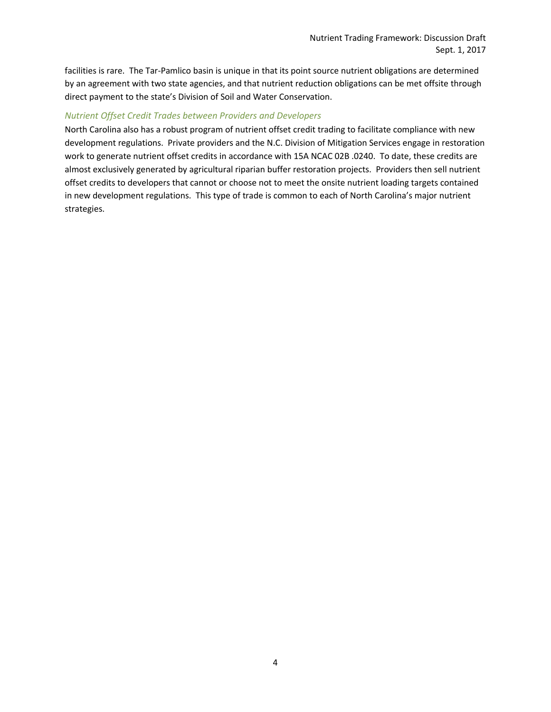facilities is rare. The Tar-Pamlico basin is unique in that its point source nutrient obligations are determined by an agreement with two state agencies, and that nutrient reduction obligations can be met offsite through direct payment to the state's Division of Soil and Water Conservation.

#### *Nutrient Offset Credit Trades between Providers and Developers*

North Carolina also has a robust program of nutrient offset credit trading to facilitate compliance with new development regulations. Private providers and the N.C. Division of Mitigation Services engage in restoration work to generate nutrient offset credits in accordance with 15A NCAC 02B .0240. To date, these credits are almost exclusively generated by agricultural riparian buffer restoration projects. Providers then sell nutrient offset credits to developers that cannot or choose not to meet the onsite nutrient loading targets contained in new development regulations. This type of trade is common to each of North Carolina's major nutrient strategies.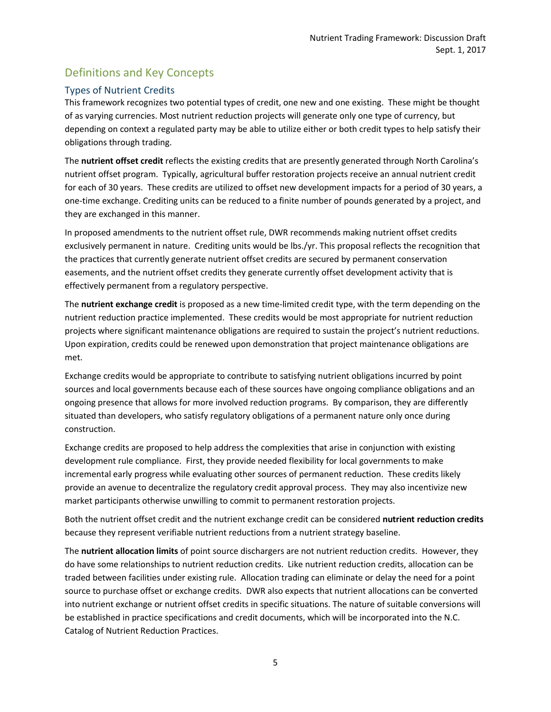# <span id="page-5-0"></span>Definitions and Key Concepts

# <span id="page-5-1"></span>Types of Nutrient Credits

This framework recognizes two potential types of credit, one new and one existing. These might be thought of as varying currencies. Most nutrient reduction projects will generate only one type of currency, but depending on context a regulated party may be able to utilize either or both credit types to help satisfy their obligations through trading.

The **nutrient offset credit** reflects the existing credits that are presently generated through North Carolina's nutrient offset program. Typically, agricultural buffer restoration projects receive an annual nutrient credit for each of 30 years. These credits are utilized to offset new development impacts for a period of 30 years, a one-time exchange. Crediting units can be reduced to a finite number of pounds generated by a project, and they are exchanged in this manner.

In proposed amendments to the nutrient offset rule, DWR recommends making nutrient offset credits exclusively permanent in nature. Crediting units would be lbs./yr. This proposal reflects the recognition that the practices that currently generate nutrient offset credits are secured by permanent conservation easements, and the nutrient offset credits they generate currently offset development activity that is effectively permanent from a regulatory perspective.

The **nutrient exchange credit** is proposed as a new time-limited credit type, with the term depending on the nutrient reduction practice implemented. These credits would be most appropriate for nutrient reduction projects where significant maintenance obligations are required to sustain the project's nutrient reductions. Upon expiration, credits could be renewed upon demonstration that project maintenance obligations are met.

Exchange credits would be appropriate to contribute to satisfying nutrient obligations incurred by point sources and local governments because each of these sources have ongoing compliance obligations and an ongoing presence that allows for more involved reduction programs. By comparison, they are differently situated than developers, who satisfy regulatory obligations of a permanent nature only once during construction.

Exchange credits are proposed to help address the complexities that arise in conjunction with existing development rule compliance. First, they provide needed flexibility for local governments to make incremental early progress while evaluating other sources of permanent reduction. These credits likely provide an avenue to decentralize the regulatory credit approval process. They may also incentivize new market participants otherwise unwilling to commit to permanent restoration projects.

Both the nutrient offset credit and the nutrient exchange credit can be considered **nutrient reduction credits** because they represent verifiable nutrient reductions from a nutrient strategy baseline.

The **nutrient allocation limits** of point source dischargers are not nutrient reduction credits. However, they do have some relationships to nutrient reduction credits. Like nutrient reduction credits, allocation can be traded between facilities under existing rule. Allocation trading can eliminate or delay the need for a point source to purchase offset or exchange credits. DWR also expects that nutrient allocations can be converted into nutrient exchange or nutrient offset credits in specific situations. The nature of suitable conversions will be established in practice specifications and credit documents, which will be incorporated into the N.C. Catalog of Nutrient Reduction Practices.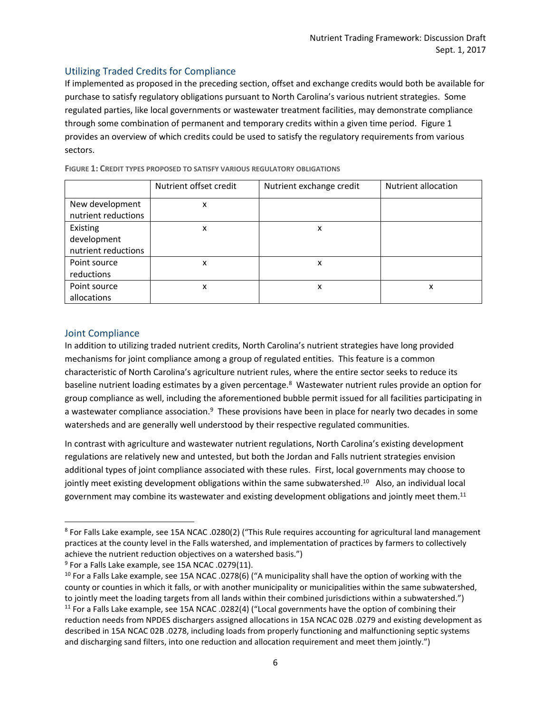# <span id="page-6-0"></span>Utilizing Traded Credits for Compliance

If implemented as proposed in the preceding section, offset and exchange credits would both be available for purchase to satisfy regulatory obligations pursuant to North Carolina's various nutrient strategies. Some regulated parties, like local governments or wastewater treatment facilities, may demonstrate compliance through some combination of permanent and temporary credits within a given time period. Figure 1 provides an overview of which credits could be used to satisfy the regulatory requirements from various sectors.

|                     | Nutrient offset credit | Nutrient exchange credit | <b>Nutrient allocation</b> |
|---------------------|------------------------|--------------------------|----------------------------|
| New development     | x                      |                          |                            |
| nutrient reductions |                        |                          |                            |
| Existing            | x                      | x                        |                            |
| development         |                        |                          |                            |
| nutrient reductions |                        |                          |                            |
| Point source        | x                      | x                        |                            |
| reductions          |                        |                          |                            |
| Point source        | X                      | x                        | x                          |
| allocations         |                        |                          |                            |

**FIGURE 1: CREDIT TYPES PROPOSED TO SATISFY VARIOUS REGULATORY OBLIGATIONS**

# <span id="page-6-1"></span>Joint Compliance

 $\overline{\phantom{a}}$ 

In addition to utilizing traded nutrient credits, North Carolina's nutrient strategies have long provided mechanisms for joint compliance among a group of regulated entities. This feature is a common characteristic of North Carolina's agriculture nutrient rules, where the entire sector seeks to reduce its baseline nutrient loading estimates by a given percentage.<sup>8</sup> Wastewater nutrient rules provide an option for group compliance as well, including the aforementioned bubble permit issued for all facilities participating in a wastewater compliance association.<sup>9</sup> These provisions have been in place for nearly two decades in some watersheds and are generally well understood by their respective regulated communities.

In contrast with agriculture and wastewater nutrient regulations, North Carolina's existing development regulations are relatively new and untested, but both the Jordan and Falls nutrient strategies envision additional types of joint compliance associated with these rules. First, local governments may choose to jointly meet existing development obligations within the same subwatershed.<sup>10</sup> Also, an individual local government may combine its wastewater and existing development obligations and jointly meet them.<sup>11</sup>

<sup>8</sup> For Falls Lake example, see 15A NCAC .0280(2) ("This Rule requires accounting for agricultural land management practices at the county level in the Falls watershed, and implementation of practices by farmers to collectively achieve the nutrient reduction objectives on a watershed basis.")

<sup>&</sup>lt;sup>9</sup> For a Falls Lake example, see 15A NCAC .0279(11).

 $10$  For a Falls Lake example, see 15A NCAC .0278(6) ("A municipality shall have the option of working with the county or counties in which it falls, or with another municipality or municipalities within the same subwatershed, to jointly meet the loading targets from all lands within their combined jurisdictions within a subwatershed.") <sup>11</sup> For a Falls Lake example, see 15A NCAC .0282(4) ("Local governments have the option of combining their reduction needs from NPDES dischargers assigned allocations in 15A NCAC 02B .0279 and existing development as described in 15A NCAC 02B .0278, including loads from properly functioning and malfunctioning septic systems and discharging sand filters, into one reduction and allocation requirement and meet them jointly.")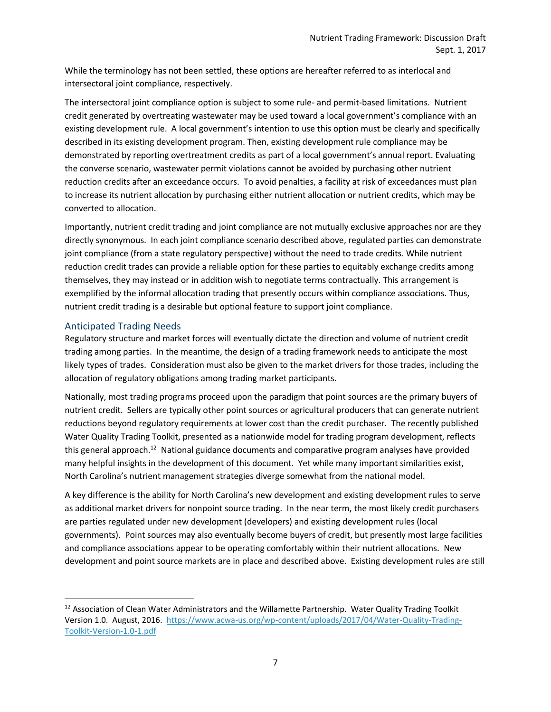While the terminology has not been settled, these options are hereafter referred to as interlocal and intersectoral joint compliance, respectively.

The intersectoral joint compliance option is subject to some rule- and permit-based limitations. Nutrient credit generated by overtreating wastewater may be used toward a local government's compliance with an existing development rule. A local government's intention to use this option must be clearly and specifically described in its existing development program. Then, existing development rule compliance may be demonstrated by reporting overtreatment credits as part of a local government's annual report. Evaluating the converse scenario, wastewater permit violations cannot be avoided by purchasing other nutrient reduction credits after an exceedance occurs. To avoid penalties, a facility at risk of exceedances must plan to increase its nutrient allocation by purchasing either nutrient allocation or nutrient credits, which may be converted to allocation.

Importantly, nutrient credit trading and joint compliance are not mutually exclusive approaches nor are they directly synonymous. In each joint compliance scenario described above, regulated parties can demonstrate joint compliance (from a state regulatory perspective) without the need to trade credits. While nutrient reduction credit trades can provide a reliable option for these parties to equitably exchange credits among themselves, they may instead or in addition wish to negotiate terms contractually. This arrangement is exemplified by the informal allocation trading that presently occurs within compliance associations. Thus, nutrient credit trading is a desirable but optional feature to support joint compliance.

# <span id="page-7-0"></span>Anticipated Trading Needs

 $\overline{\phantom{a}}$ 

Regulatory structure and market forces will eventually dictate the direction and volume of nutrient credit trading among parties. In the meantime, the design of a trading framework needs to anticipate the most likely types of trades. Consideration must also be given to the market drivers for those trades, including the allocation of regulatory obligations among trading market participants.

Nationally, most trading programs proceed upon the paradigm that point sources are the primary buyers of nutrient credit. Sellers are typically other point sources or agricultural producers that can generate nutrient reductions beyond regulatory requirements at lower cost than the credit purchaser. The recently published Water Quality Trading Toolkit, presented as a nationwide model for trading program development, reflects this general approach.<sup>12</sup> National guidance documents and comparative program analyses have provided many helpful insights in the development of this document. Yet while many important similarities exist, North Carolina's nutrient management strategies diverge somewhat from the national model.

A key difference is the ability for North Carolina's new development and existing development rules to serve as additional market drivers for nonpoint source trading. In the near term, the most likely credit purchasers are parties regulated under new development (developers) and existing development rules (local governments). Point sources may also eventually become buyers of credit, but presently most large facilities and compliance associations appear to be operating comfortably within their nutrient allocations. New development and point source markets are in place and described above. Existing development rules are still

<sup>&</sup>lt;sup>12</sup> Association of Clean Water Administrators and the Willamette Partnership. Water Quality Trading Toolkit Version 1.0. August, 2016. [https://www.acwa-us.org/wp-content/uploads/2017/04/Water-Quality-Trading-](https://www.acwa-us.org/wp-content/uploads/2017/04/Water-Quality-Trading-Toolkit-Version-1.0-1.pdf)[Toolkit-Version-1.0-1.pdf](https://www.acwa-us.org/wp-content/uploads/2017/04/Water-Quality-Trading-Toolkit-Version-1.0-1.pdf)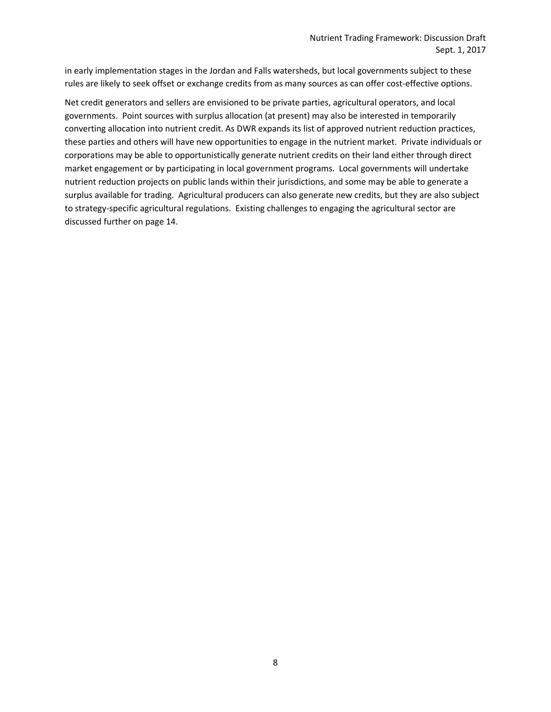in early implementation stages in the Jordan and Falls watersheds, but local governments subject to these rules are likely to seek offset or exchange credits from as many sources as can offer cost-effective options.

Net credit generators and sellers are envisioned to be private parties, agricultural operators, and local governments. Point sources with surplus allocation (at present) may also be interested in temporarily converting allocation into nutrient credit. As DWR expands its list of approved nutrient reduction practices, these parties and others will have new opportunities to engage in the nutrient market. Private individuals or corporations may be able to opportunistically generate nutrient credits on their land either through direct market engagement or by participating in local government programs. Local governments will undertake nutrient reduction projects on public lands within their jurisdictions, and some may be able to generate a surplus available for trading. Agricultural producers can also generate new credits, but they are also subject to strategy-specific agricultural regulations. Existing challenges to engaging the agricultural sector are discussed further on page 14.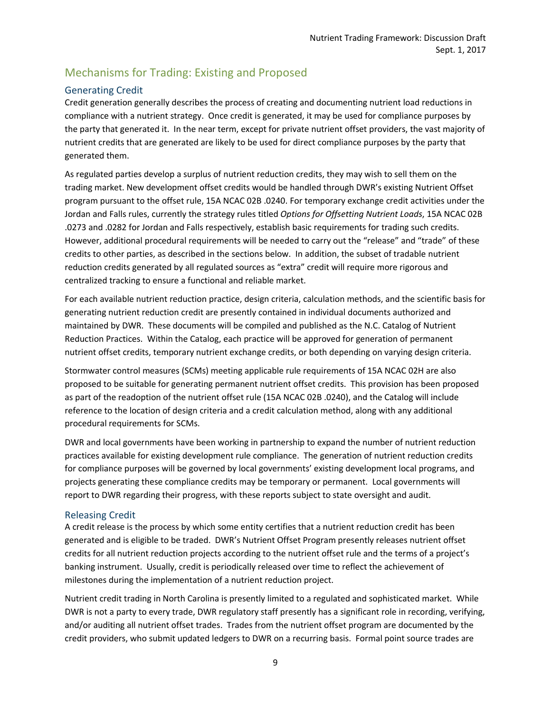# <span id="page-9-0"></span>Mechanisms for Trading: Existing and Proposed

# <span id="page-9-1"></span>Generating Credit

Credit generation generally describes the process of creating and documenting nutrient load reductions in compliance with a nutrient strategy. Once credit is generated, it may be used for compliance purposes by the party that generated it. In the near term, except for private nutrient offset providers, the vast majority of nutrient credits that are generated are likely to be used for direct compliance purposes by the party that generated them.

As regulated parties develop a surplus of nutrient reduction credits, they may wish to sell them on the trading market. New development offset credits would be handled through DWR's existing Nutrient Offset program pursuant to the offset rule, 15A NCAC 02B .0240. For temporary exchange credit activities under the Jordan and Falls rules, currently the strategy rules titled *Options for Offsetting Nutrient Loads*, 15A NCAC 02B .0273 and .0282 for Jordan and Falls respectively, establish basic requirements for trading such credits. However, additional procedural requirements will be needed to carry out the "release" and "trade" of these credits to other parties, as described in the sections below. In addition, the subset of tradable nutrient reduction credits generated by all regulated sources as "extra" credit will require more rigorous and centralized tracking to ensure a functional and reliable market.

For each available nutrient reduction practice, design criteria, calculation methods, and the scientific basis for generating nutrient reduction credit are presently contained in individual documents authorized and maintained by DWR. These documents will be compiled and published as the N.C. Catalog of Nutrient Reduction Practices. Within the Catalog, each practice will be approved for generation of permanent nutrient offset credits, temporary nutrient exchange credits, or both depending on varying design criteria.

Stormwater control measures (SCMs) meeting applicable rule requirements of 15A NCAC 02H are also proposed to be suitable for generating permanent nutrient offset credits. This provision has been proposed as part of the readoption of the nutrient offset rule (15A NCAC 02B .0240), and the Catalog will include reference to the location of design criteria and a credit calculation method, along with any additional procedural requirements for SCMs.

DWR and local governments have been working in partnership to expand the number of nutrient reduction practices available for existing development rule compliance. The generation of nutrient reduction credits for compliance purposes will be governed by local governments' existing development local programs, and projects generating these compliance credits may be temporary or permanent. Local governments will report to DWR regarding their progress, with these reports subject to state oversight and audit.

# <span id="page-9-2"></span>Releasing Credit

A credit release is the process by which some entity certifies that a nutrient reduction credit has been generated and is eligible to be traded. DWR's Nutrient Offset Program presently releases nutrient offset credits for all nutrient reduction projects according to the nutrient offset rule and the terms of a project's banking instrument. Usually, credit is periodically released over time to reflect the achievement of milestones during the implementation of a nutrient reduction project.

Nutrient credit trading in North Carolina is presently limited to a regulated and sophisticated market. While DWR is not a party to every trade, DWR regulatory staff presently has a significant role in recording, verifying, and/or auditing all nutrient offset trades. Trades from the nutrient offset program are documented by the credit providers, who submit updated ledgers to DWR on a recurring basis. Formal point source trades are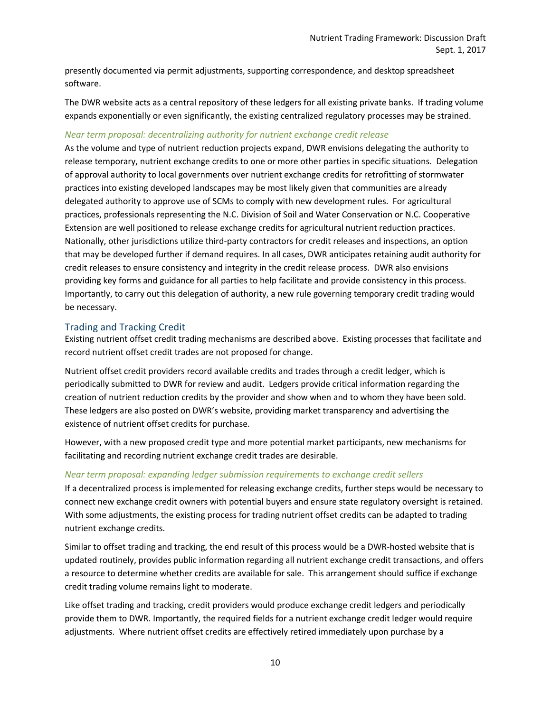presently documented via permit adjustments, supporting correspondence, and desktop spreadsheet software.

The DWR website acts as a central repository of these ledgers for all existing private banks. If trading volume expands exponentially or even significantly, the existing centralized regulatory processes may be strained.

#### *Near term proposal: decentralizing authority for nutrient exchange credit release*

As the volume and type of nutrient reduction projects expand, DWR envisions delegating the authority to release temporary, nutrient exchange credits to one or more other parties in specific situations. Delegation of approval authority to local governments over nutrient exchange credits for retrofitting of stormwater practices into existing developed landscapes may be most likely given that communities are already delegated authority to approve use of SCMs to comply with new development rules. For agricultural practices, professionals representing the N.C. Division of Soil and Water Conservation or N.C. Cooperative Extension are well positioned to release exchange credits for agricultural nutrient reduction practices. Nationally, other jurisdictions utilize third-party contractors for credit releases and inspections, an option that may be developed further if demand requires. In all cases, DWR anticipates retaining audit authority for credit releases to ensure consistency and integrity in the credit release process. DWR also envisions providing key forms and guidance for all parties to help facilitate and provide consistency in this process. Importantly, to carry out this delegation of authority, a new rule governing temporary credit trading would be necessary.

## <span id="page-10-0"></span>Trading and Tracking Credit

Existing nutrient offset credit trading mechanisms are described above. Existing processes that facilitate and record nutrient offset credit trades are not proposed for change.

Nutrient offset credit providers record available credits and trades through a credit ledger, which is periodically submitted to DWR for review and audit. Ledgers provide critical information regarding the creation of nutrient reduction credits by the provider and show when and to whom they have been sold. These ledgers are also posted on DWR's website, providing market transparency and advertising the existence of nutrient offset credits for purchase.

However, with a new proposed credit type and more potential market participants, new mechanisms for facilitating and recording nutrient exchange credit trades are desirable.

#### *Near term proposal: expanding ledger submission requirements to exchange credit sellers*

If a decentralized process is implemented for releasing exchange credits, further steps would be necessary to connect new exchange credit owners with potential buyers and ensure state regulatory oversight is retained. With some adjustments, the existing process for trading nutrient offset credits can be adapted to trading nutrient exchange credits.

Similar to offset trading and tracking, the end result of this process would be a DWR-hosted website that is updated routinely, provides public information regarding all nutrient exchange credit transactions, and offers a resource to determine whether credits are available for sale. This arrangement should suffice if exchange credit trading volume remains light to moderate.

Like offset trading and tracking, credit providers would produce exchange credit ledgers and periodically provide them to DWR. Importantly, the required fields for a nutrient exchange credit ledger would require adjustments. Where nutrient offset credits are effectively retired immediately upon purchase by a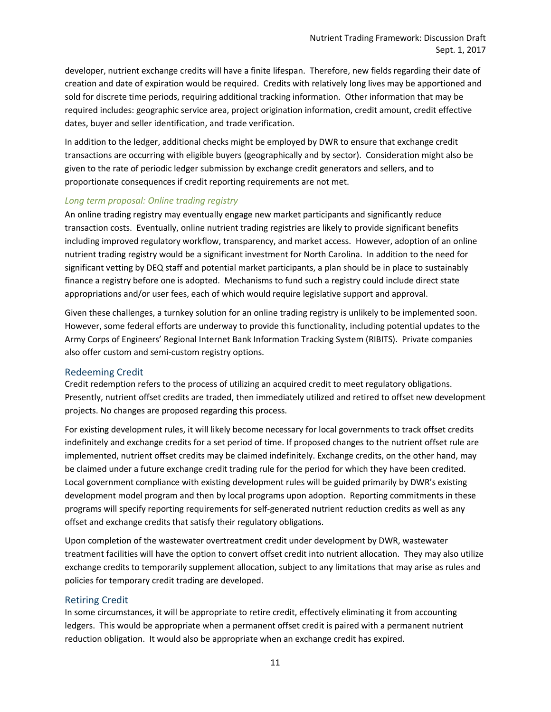developer, nutrient exchange credits will have a finite lifespan. Therefore, new fields regarding their date of creation and date of expiration would be required. Credits with relatively long lives may be apportioned and sold for discrete time periods, requiring additional tracking information. Other information that may be required includes: geographic service area, project origination information, credit amount, credit effective dates, buyer and seller identification, and trade verification.

In addition to the ledger, additional checks might be employed by DWR to ensure that exchange credit transactions are occurring with eligible buyers (geographically and by sector). Consideration might also be given to the rate of periodic ledger submission by exchange credit generators and sellers, and to proportionate consequences if credit reporting requirements are not met.

# *Long term proposal: Online trading registry*

An online trading registry may eventually engage new market participants and significantly reduce transaction costs. Eventually, online nutrient trading registries are likely to provide significant benefits including improved regulatory workflow, transparency, and market access. However, adoption of an online nutrient trading registry would be a significant investment for North Carolina. In addition to the need for significant vetting by DEQ staff and potential market participants, a plan should be in place to sustainably finance a registry before one is adopted. Mechanisms to fund such a registry could include direct state appropriations and/or user fees, each of which would require legislative support and approval.

Given these challenges, a turnkey solution for an online trading registry is unlikely to be implemented soon. However, some federal efforts are underway to provide this functionality, including potential updates to the Army Corps of Engineers' Regional Internet Bank Information Tracking System (RIBITS). Private companies also offer custom and semi-custom registry options.

## <span id="page-11-0"></span>Redeeming Credit

Credit redemption refers to the process of utilizing an acquired credit to meet regulatory obligations. Presently, nutrient offset credits are traded, then immediately utilized and retired to offset new development projects. No changes are proposed regarding this process.

For existing development rules, it will likely become necessary for local governments to track offset credits indefinitely and exchange credits for a set period of time. If proposed changes to the nutrient offset rule are implemented, nutrient offset credits may be claimed indefinitely. Exchange credits, on the other hand, may be claimed under a future exchange credit trading rule for the period for which they have been credited. Local government compliance with existing development rules will be guided primarily by DWR's existing development model program and then by local programs upon adoption. Reporting commitments in these programs will specify reporting requirements for self-generated nutrient reduction credits as well as any offset and exchange credits that satisfy their regulatory obligations.

Upon completion of the wastewater overtreatment credit under development by DWR, wastewater treatment facilities will have the option to convert offset credit into nutrient allocation. They may also utilize exchange credits to temporarily supplement allocation, subject to any limitations that may arise as rules and policies for temporary credit trading are developed.

## <span id="page-11-1"></span>Retiring Credit

In some circumstances, it will be appropriate to retire credit, effectively eliminating it from accounting ledgers. This would be appropriate when a permanent offset credit is paired with a permanent nutrient reduction obligation. It would also be appropriate when an exchange credit has expired.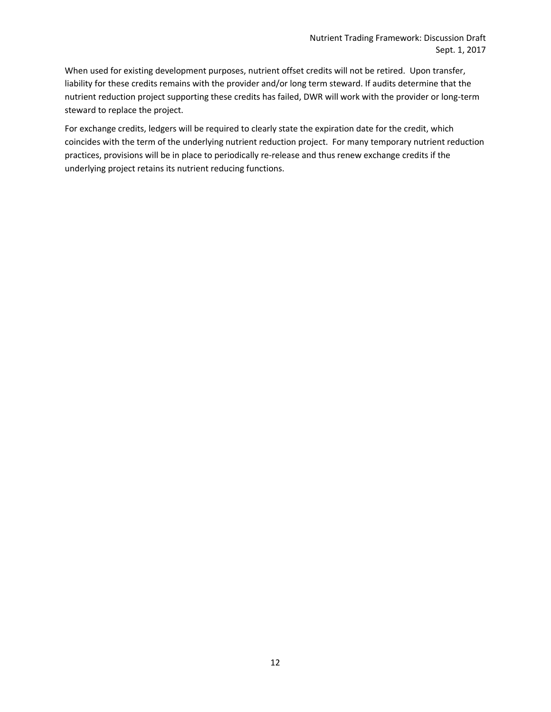When used for existing development purposes, nutrient offset credits will not be retired. Upon transfer, liability for these credits remains with the provider and/or long term steward. If audits determine that the nutrient reduction project supporting these credits has failed, DWR will work with the provider or long-term steward to replace the project.

For exchange credits, ledgers will be required to clearly state the expiration date for the credit, which coincides with the term of the underlying nutrient reduction project. For many temporary nutrient reduction practices, provisions will be in place to periodically re-release and thus renew exchange credits if the underlying project retains its nutrient reducing functions.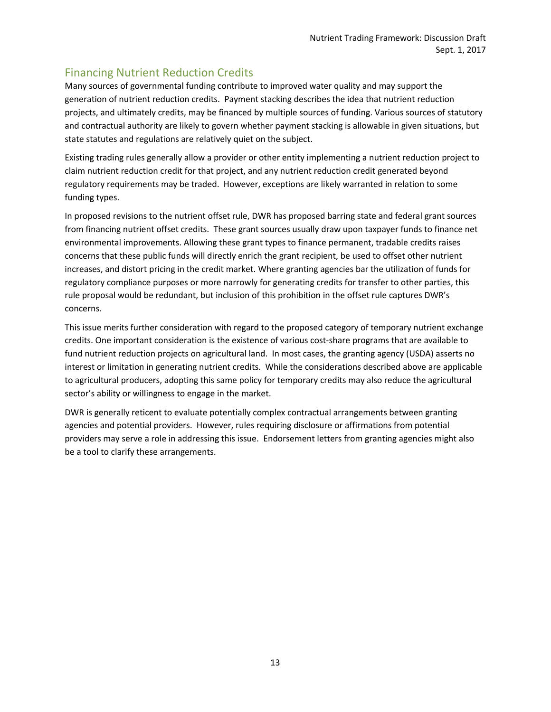# <span id="page-13-0"></span>Financing Nutrient Reduction Credits

Many sources of governmental funding contribute to improved water quality and may support the generation of nutrient reduction credits. Payment stacking describes the idea that nutrient reduction projects, and ultimately credits, may be financed by multiple sources of funding. Various sources of statutory and contractual authority are likely to govern whether payment stacking is allowable in given situations, but state statutes and regulations are relatively quiet on the subject.

Existing trading rules generally allow a provider or other entity implementing a nutrient reduction project to claim nutrient reduction credit for that project, and any nutrient reduction credit generated beyond regulatory requirements may be traded. However, exceptions are likely warranted in relation to some funding types.

In proposed revisions to the nutrient offset rule, DWR has proposed barring state and federal grant sources from financing nutrient offset credits. These grant sources usually draw upon taxpayer funds to finance net environmental improvements. Allowing these grant types to finance permanent, tradable credits raises concerns that these public funds will directly enrich the grant recipient, be used to offset other nutrient increases, and distort pricing in the credit market. Where granting agencies bar the utilization of funds for regulatory compliance purposes or more narrowly for generating credits for transfer to other parties, this rule proposal would be redundant, but inclusion of this prohibition in the offset rule captures DWR's concerns.

This issue merits further consideration with regard to the proposed category of temporary nutrient exchange credits. One important consideration is the existence of various cost-share programs that are available to fund nutrient reduction projects on agricultural land. In most cases, the granting agency (USDA) asserts no interest or limitation in generating nutrient credits. While the considerations described above are applicable to agricultural producers, adopting this same policy for temporary credits may also reduce the agricultural sector's ability or willingness to engage in the market.

DWR is generally reticent to evaluate potentially complex contractual arrangements between granting agencies and potential providers. However, rules requiring disclosure or affirmations from potential providers may serve a role in addressing this issue. Endorsement letters from granting agencies might also be a tool to clarify these arrangements.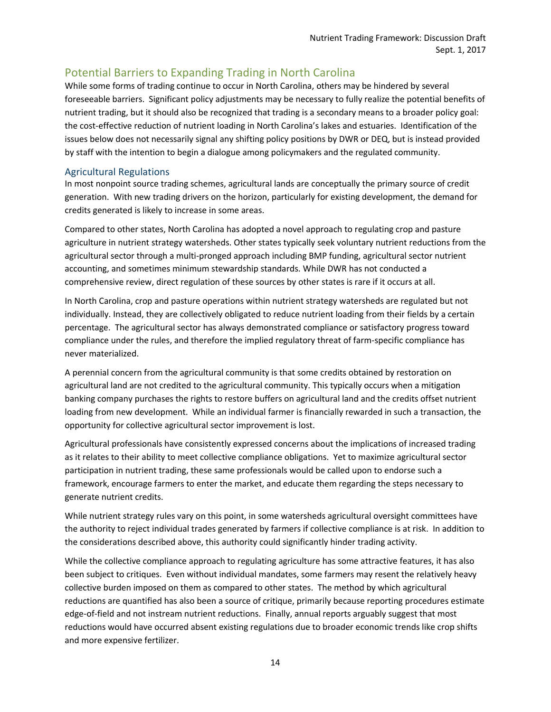# <span id="page-14-0"></span>Potential Barriers to Expanding Trading in North Carolina

While some forms of trading continue to occur in North Carolina, others may be hindered by several foreseeable barriers. Significant policy adjustments may be necessary to fully realize the potential benefits of nutrient trading, but it should also be recognized that trading is a secondary means to a broader policy goal: the cost-effective reduction of nutrient loading in North Carolina's lakes and estuaries. Identification of the issues below does not necessarily signal any shifting policy positions by DWR or DEQ, but is instead provided by staff with the intention to begin a dialogue among policymakers and the regulated community.

# <span id="page-14-1"></span>Agricultural Regulations

In most nonpoint source trading schemes, agricultural lands are conceptually the primary source of credit generation. With new trading drivers on the horizon, particularly for existing development, the demand for credits generated is likely to increase in some areas.

Compared to other states, North Carolina has adopted a novel approach to regulating crop and pasture agriculture in nutrient strategy watersheds. Other states typically seek voluntary nutrient reductions from the agricultural sector through a multi-pronged approach including BMP funding, agricultural sector nutrient accounting, and sometimes minimum stewardship standards. While DWR has not conducted a comprehensive review, direct regulation of these sources by other states is rare if it occurs at all.

In North Carolina, crop and pasture operations within nutrient strategy watersheds are regulated but not individually. Instead, they are collectively obligated to reduce nutrient loading from their fields by a certain percentage. The agricultural sector has always demonstrated compliance or satisfactory progress toward compliance under the rules, and therefore the implied regulatory threat of farm-specific compliance has never materialized.

A perennial concern from the agricultural community is that some credits obtained by restoration on agricultural land are not credited to the agricultural community. This typically occurs when a mitigation banking company purchases the rights to restore buffers on agricultural land and the credits offset nutrient loading from new development. While an individual farmer is financially rewarded in such a transaction, the opportunity for collective agricultural sector improvement is lost.

Agricultural professionals have consistently expressed concerns about the implications of increased trading as it relates to their ability to meet collective compliance obligations. Yet to maximize agricultural sector participation in nutrient trading, these same professionals would be called upon to endorse such a framework, encourage farmers to enter the market, and educate them regarding the steps necessary to generate nutrient credits.

While nutrient strategy rules vary on this point, in some watersheds agricultural oversight committees have the authority to reject individual trades generated by farmers if collective compliance is at risk. In addition to the considerations described above, this authority could significantly hinder trading activity.

While the collective compliance approach to regulating agriculture has some attractive features, it has also been subject to critiques. Even without individual mandates, some farmers may resent the relatively heavy collective burden imposed on them as compared to other states. The method by which agricultural reductions are quantified has also been a source of critique, primarily because reporting procedures estimate edge-of-field and not instream nutrient reductions. Finally, annual reports arguably suggest that most reductions would have occurred absent existing regulations due to broader economic trends like crop shifts and more expensive fertilizer.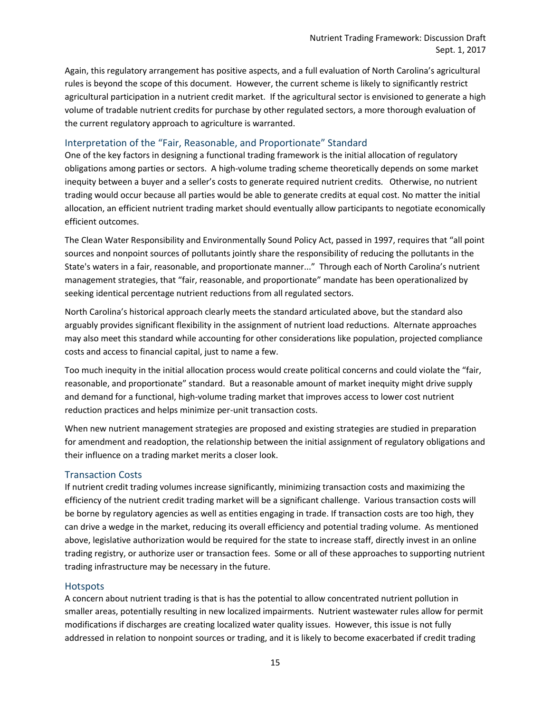Again, this regulatory arrangement has positive aspects, and a full evaluation of North Carolina's agricultural rules is beyond the scope of this document. However, the current scheme is likely to significantly restrict agricultural participation in a nutrient credit market. If the agricultural sector is envisioned to generate a high volume of tradable nutrient credits for purchase by other regulated sectors, a more thorough evaluation of the current regulatory approach to agriculture is warranted.

# <span id="page-15-0"></span>Interpretation of the "Fair, Reasonable, and Proportionate" Standard

One of the key factors in designing a functional trading framework is the initial allocation of regulatory obligations among parties or sectors. A high-volume trading scheme theoretically depends on some market inequity between a buyer and a seller's costs to generate required nutrient credits. Otherwise, no nutrient trading would occur because all parties would be able to generate credits at equal cost. No matter the initial allocation, an efficient nutrient trading market should eventually allow participants to negotiate economically efficient outcomes.

The Clean Water Responsibility and Environmentally Sound Policy Act, passed in 1997, requires that "all point sources and nonpoint sources of pollutants jointly share the responsibility of reducing the pollutants in the State's waters in a fair, reasonable, and proportionate manner..." Through each of North Carolina's nutrient management strategies, that "fair, reasonable, and proportionate" mandate has been operationalized by seeking identical percentage nutrient reductions from all regulated sectors.

North Carolina's historical approach clearly meets the standard articulated above, but the standard also arguably provides significant flexibility in the assignment of nutrient load reductions. Alternate approaches may also meet this standard while accounting for other considerations like population, projected compliance costs and access to financial capital, just to name a few.

Too much inequity in the initial allocation process would create political concerns and could violate the "fair, reasonable, and proportionate" standard. But a reasonable amount of market inequity might drive supply and demand for a functional, high-volume trading market that improves access to lower cost nutrient reduction practices and helps minimize per-unit transaction costs.

When new nutrient management strategies are proposed and existing strategies are studied in preparation for amendment and readoption, the relationship between the initial assignment of regulatory obligations and their influence on a trading market merits a closer look.

## <span id="page-15-1"></span>Transaction Costs

If nutrient credit trading volumes increase significantly, minimizing transaction costs and maximizing the efficiency of the nutrient credit trading market will be a significant challenge. Various transaction costs will be borne by regulatory agencies as well as entities engaging in trade. If transaction costs are too high, they can drive a wedge in the market, reducing its overall efficiency and potential trading volume. As mentioned above, legislative authorization would be required for the state to increase staff, directly invest in an online trading registry, or authorize user or transaction fees. Some or all of these approaches to supporting nutrient trading infrastructure may be necessary in the future.

## <span id="page-15-2"></span>**Hotspots**

A concern about nutrient trading is that is has the potential to allow concentrated nutrient pollution in smaller areas, potentially resulting in new localized impairments. Nutrient wastewater rules allow for permit modifications if discharges are creating localized water quality issues. However, this issue is not fully addressed in relation to nonpoint sources or trading, and it is likely to become exacerbated if credit trading